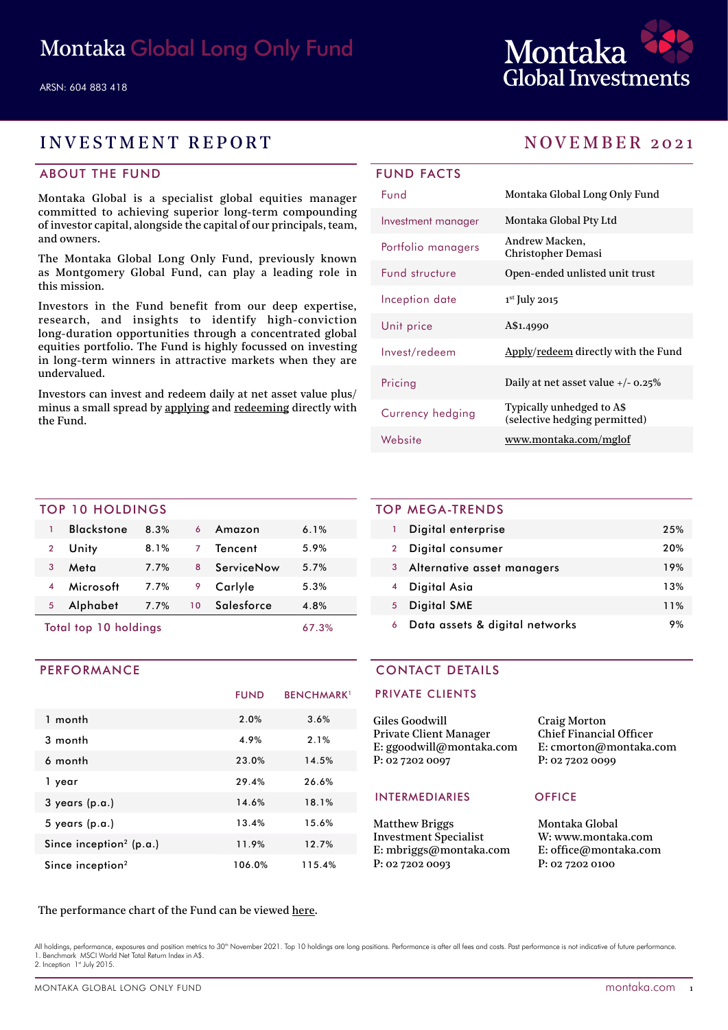

# INVESTMENT REPORT NOVEMBER 2021

# ABOUT THE FUND

Montaka Global is a specialist global equities manager committed to achieving superior long-term compounding of investor capital, alongside the capital of our principals, team, and owners.

The Montaka Global Long Only Fund, previously known as Montgomery Global Fund, can play a leading role in this mission.

Investors in the Fund benefit from our deep expertise, research, and insights to identify high-conviction long-duration opportunities through a concentrated global equities portfolio. The Fund is highly focussed on investing in long-term winners in attractive markets when they are undervalued.

Investors can invest and redeem daily at net asset value plus/ minus a small spread by [applying](https://fundhost.olivia123.com/fundhost/montaka-global-long-only-fund.php) and [redeeming](https://fundhost.com.au/investor-login/) directly with the Fund.

| Fund                  | Montaka Global Long Only Fund                              |
|-----------------------|------------------------------------------------------------|
| Investment manager    | Montaka Global Pty Ltd                                     |
| Portfolio managers    | Andrew Macken,<br>Christopher Demasi                       |
| <b>Fund structure</b> | Open-ended unlisted unit trust                             |
| Inception date        | $1st$ July 2015                                            |
| Unit price            | A\$1.4990                                                  |
| Invest/redeem         | Apply/redeem directly with the Fund                        |
| Pricing               | Daily at net asset value $+/- 0.25\%$                      |
| Currency hedging      | Typically unhedged to A\$<br>(selective hedging permitted) |
| Website               | www.montaka.com/mglof                                      |

### TOP 10 HOLDINGS

| Total top 10 holdings |                   |         |    | 67.3%      |      |  |
|-----------------------|-------------------|---------|----|------------|------|--|
| 5                     | Alphabet          | 7.7%    | 10 | Salesforce | 4.8% |  |
|                       | Microsoft         | $7.7\%$ | 9  | Carlyle    | 5.3% |  |
| 3                     | Meta              | $7.7\%$ | 8  | ServiceNow | 5.7% |  |
| $\overline{2}$        | Unity             | 8.1%    | 7  | Tencent    | 5.9% |  |
|                       | <b>Blackstone</b> | 8.3%    | 6  | Amazon     | 6.1% |  |
|                       |                   |         |    |            |      |  |

### PERFORMANCE

|                                     | <b>FUND</b> | <b>BENCHMARK</b> <sup>1</sup> |
|-------------------------------------|-------------|-------------------------------|
| 1 month                             | 2.0%        | 3.6%                          |
| 3 month                             | 4.9%        | 2.1%                          |
| 6 month                             | 23.0%       | 14.5%                         |
| 1 year                              | 29.4%       | 26.6%                         |
| $3$ years (p.a.)                    | 14.6%       | 18.1%                         |
| $5$ years (p.a.)                    | 13.4%       | 15.6%                         |
| Since inception <sup>2</sup> (p.a.) | 11.9%       | 12.7%                         |
| Since inception <sup>2</sup>        | 106.0%      | 115.4%                        |

### TOP MEGA-TRENDS

|              | Digital enterprise             | 25% |
|--------------|--------------------------------|-----|
| $\mathbf{2}$ | Digital consumer               | 20% |
| 3            | Alternative asset managers     | 19% |
|              | Digital Asia                   | 13% |
| 5            | <b>Digital SME</b>             | 11% |
| 6            | Data assets & digital networks | 9%  |

### CONTACT DETAILS

### PRIVATE CLIENTS

| Giles Goodwill           | <b>Craig Morton</b>            |
|--------------------------|--------------------------------|
| Private Client Manager   | <b>Chief Financial Officer</b> |
| E: ggoodwill@montaka.com | E: cmorton@montaka.com         |
| P: 02 7202 0097          | P: 0272020099                  |
|                          |                                |

### INTERMEDIARIES OFFICE

Matthew Briggs Investment Specialist E: mbriggs@montaka.com P: 02 7202 0093

om

Montaka Global W: [www.montaka.com](http://www.montaka.com) E: office@montaka.com P: 02 7202 0100

### The performance chart of the Fund can be viewed [here](https://montaka.com/our-philosophy/montaka-global-long-only/montaka-global-long-only-fund/).

All holdings, performance, exposures and position metrics to 30<sup>th</sup> November 2021. Top 10 holdings are long positions. Performance is after all fees and costs. Past performance is not indicative of future performance 1. Benchmark MSCI World Net Total Return Index in A\$. 2. Inception 1st July 2015.